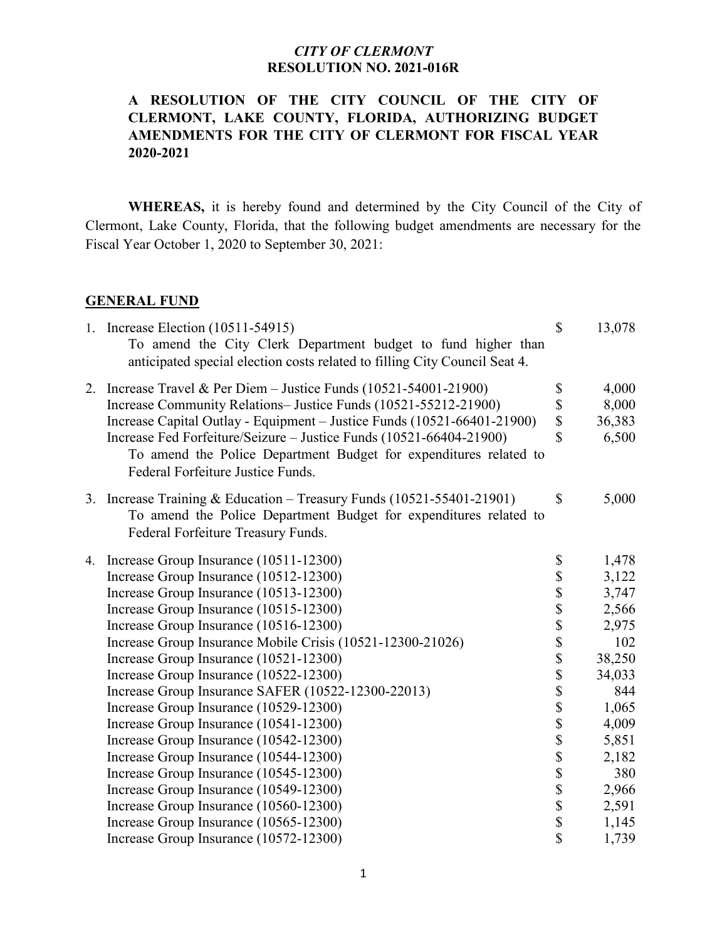# **A RESOLUTION OF THE CITY COUNCIL OF THE CITY OF CLERMONT, LAKE COUNTY, FLORIDA, AUTHORIZING BUDGET AMENDMENTS FOR THE CITY OF CLERMONT FOR FISCAL YEAR 2020-2021**

**WHEREAS,** it is hereby found and determined by the City Council of the City of Clermont, Lake County, Florida, that the following budget amendments are necessary for the Fiscal Year October 1, 2020 to September 30, 2021:

#### **GENERAL FUND**

| 1. Increase Election (10511-54915)<br>To amend the City Clerk Department budget to fund higher than<br>anticipated special election costs related to filling City Council Seat 4. | $\mathbb{S}$ | 13,078 |
|-----------------------------------------------------------------------------------------------------------------------------------------------------------------------------------|--------------|--------|
| 2. Increase Travel & Per Diem - Justice Funds $(10521 - 54001 - 21900)$                                                                                                           | \$           | 4,000  |
| Increase Community Relations-Justice Funds (10521-55212-21900)                                                                                                                    | \$           | 8,000  |
| Increase Capital Outlay - Equipment - Justice Funds (10521-66401-21900)                                                                                                           | \$           | 36,383 |
| Increase Fed Forfeiture/Seizure - Justice Funds (10521-66404-21900)<br>To amend the Police Department Budget for expenditures related to<br>Federal Forfeiture Justice Funds.     | \$           | 6,500  |
| 3. Increase Training & Education – Treasury Funds (10521-55401-21901)<br>To amend the Police Department Budget for expenditures related to<br>Federal Forfeiture Treasury Funds.  | $\mathbb{S}$ | 5,000  |
| 4. Increase Group Insurance (10511-12300)                                                                                                                                         |              | 1,478  |
| Increase Group Insurance (10512-12300)                                                                                                                                            |              | 3,122  |
| Increase Group Insurance (10513-12300)                                                                                                                                            |              | 3,747  |
| Increase Group Insurance (10515-12300)                                                                                                                                            |              | 2,566  |
| Increase Group Insurance (10516-12300)                                                                                                                                            |              | 2,975  |
| Increase Group Insurance Mobile Crisis (10521-12300-21026)                                                                                                                        |              | 102    |
| Increase Group Insurance (10521-12300)                                                                                                                                            |              | 38,250 |
| Increase Group Insurance (10522-12300)                                                                                                                                            |              | 34,033 |
| Increase Group Insurance SAFER (10522-12300-22013)                                                                                                                                |              | 844    |
| Increase Group Insurance (10529-12300)                                                                                                                                            |              | 1,065  |
| Increase Group Insurance (10541-12300)                                                                                                                                            |              | 4,009  |
| Increase Group Insurance (10542-12300)                                                                                                                                            |              | 5,851  |
| Increase Group Insurance (10544-12300)                                                                                                                                            |              | 2,182  |
| Increase Group Insurance (10545-12300)                                                                                                                                            |              | 380    |
| Increase Group Insurance (10549-12300)                                                                                                                                            |              | 2,966  |
| Increase Group Insurance (10560-12300)                                                                                                                                            |              | 2,591  |
| Increase Group Insurance (10565-12300)                                                                                                                                            |              | 1,145  |
| Increase Group Insurance (10572-12300)                                                                                                                                            |              | 1,739  |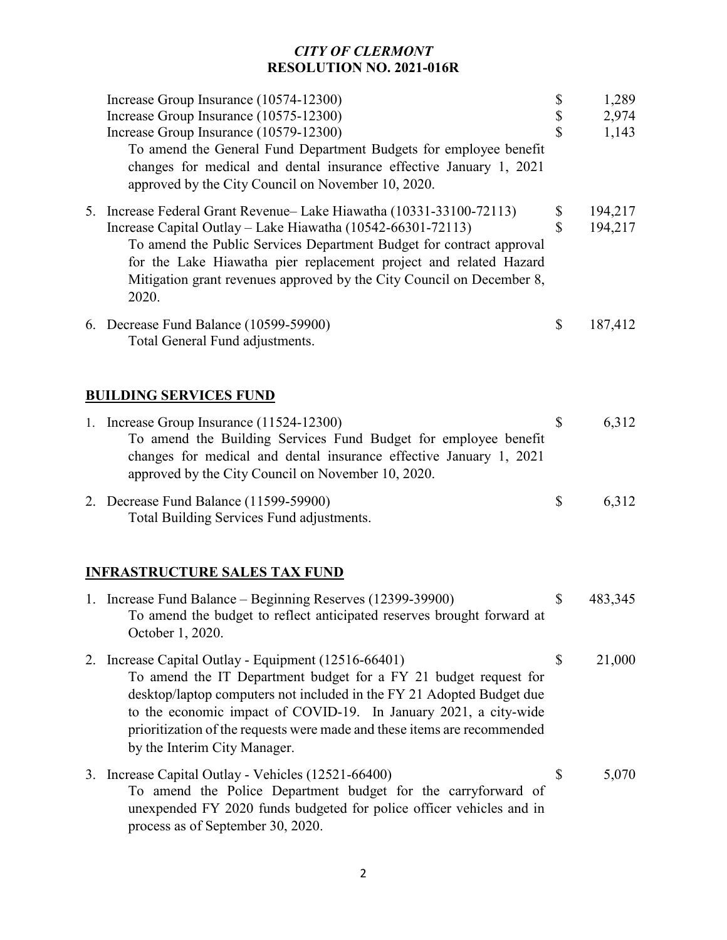| Increase Group Insurance (10574-12300)<br>Increase Group Insurance (10575-12300)<br>Increase Group Insurance (10579-12300)<br>To amend the General Fund Department Budgets for employee benefit<br>changes for medical and dental insurance effective January 1, 2021<br>approved by the City Council on November 10, 2020.                                                       | \$<br>$\boldsymbol{\mathsf{S}}$<br>$\overline{\mathbf{S}}$ | 1,289<br>2,974<br>1,143 |
|-----------------------------------------------------------------------------------------------------------------------------------------------------------------------------------------------------------------------------------------------------------------------------------------------------------------------------------------------------------------------------------|------------------------------------------------------------|-------------------------|
| 5. Increase Federal Grant Revenue– Lake Hiawatha (10331-33100-72113)<br>Increase Capital Outlay - Lake Hiawatha (10542-66301-72113)<br>To amend the Public Services Department Budget for contract approval<br>for the Lake Hiawatha pier replacement project and related Hazard<br>Mitigation grant revenues approved by the City Council on December 8,<br>2020.                | \$<br>\$                                                   | 194,217<br>194,217      |
| 6. Decrease Fund Balance (10599-59900)<br>Total General Fund adjustments.                                                                                                                                                                                                                                                                                                         | $\mathbb{S}$                                               | 187,412                 |
| <b>BUILDING SERVICES FUND</b>                                                                                                                                                                                                                                                                                                                                                     |                                                            |                         |
| 1. Increase Group Insurance (11524-12300)<br>To amend the Building Services Fund Budget for employee benefit<br>changes for medical and dental insurance effective January 1, 2021<br>approved by the City Council on November 10, 2020.                                                                                                                                          | \$                                                         | 6,312                   |
| 2. Decrease Fund Balance (11599-59900)<br>Total Building Services Fund adjustments.                                                                                                                                                                                                                                                                                               | \$                                                         | 6,312                   |
| <b>INFRASTRUCTURE SALES TAX FUND</b>                                                                                                                                                                                                                                                                                                                                              |                                                            |                         |
| 1. Increase Fund Balance – Beginning Reserves (12399-39900)<br>To amend the budget to reflect anticipated reserves brought forward at<br>October 1, 2020.                                                                                                                                                                                                                         | \$                                                         | 483,345                 |
| 2. Increase Capital Outlay - Equipment (12516-66401)<br>To amend the IT Department budget for a FY 21 budget request for<br>desktop/laptop computers not included in the FY 21 Adopted Budget due<br>to the economic impact of COVID-19. In January 2021, a city-wide<br>prioritization of the requests were made and these items are recommended<br>by the Interim City Manager. | $\mathbb{S}$                                               | 21,000                  |
| 3. Increase Capital Outlay - Vehicles (12521-66400)<br>To amend the Police Department budget for the carryforward of<br>unexpended FY 2020 funds budgeted for police officer vehicles and in<br>process as of September 30, 2020.                                                                                                                                                 | \$                                                         | 5,070                   |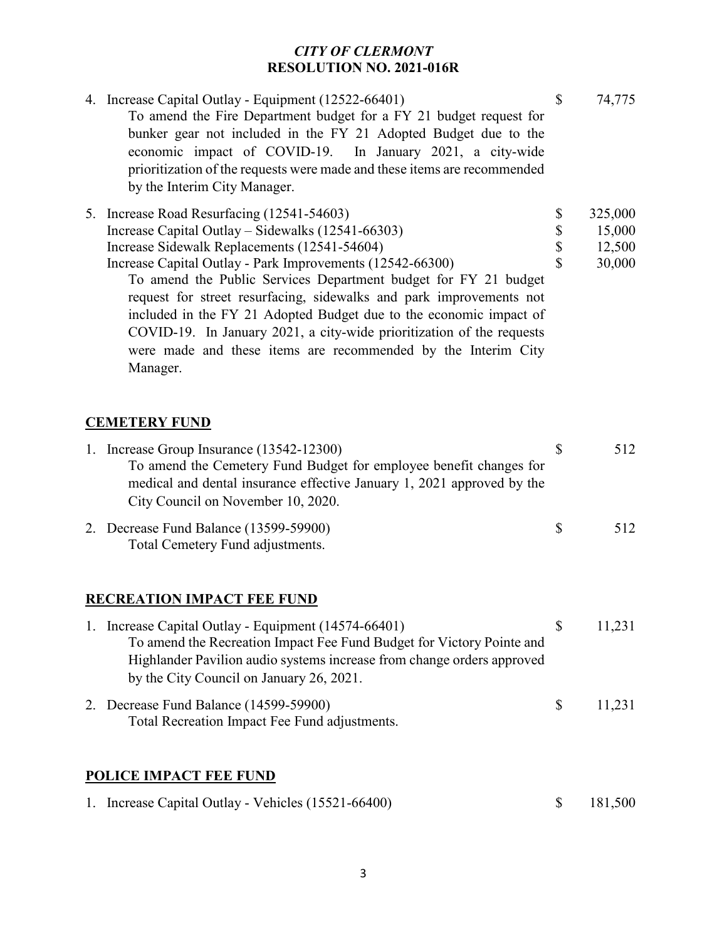| 4. Increase Capital Outlay - Equipment (12522-66401)<br>To amend the Fire Department budget for a FY 21 budget request for<br>bunker gear not included in the FY 21 Adopted Budget due to the                                                                                                                                                                                                                                                                                                                                                                                      | $\mathbb{S}$              | 74,775                                |
|------------------------------------------------------------------------------------------------------------------------------------------------------------------------------------------------------------------------------------------------------------------------------------------------------------------------------------------------------------------------------------------------------------------------------------------------------------------------------------------------------------------------------------------------------------------------------------|---------------------------|---------------------------------------|
| economic impact of COVID-19. In January 2021, a city-wide<br>prioritization of the requests were made and these items are recommended<br>by the Interim City Manager.                                                                                                                                                                                                                                                                                                                                                                                                              |                           |                                       |
| 5. Increase Road Resurfacing (12541-54603)<br>Increase Capital Outlay - Sidewalks (12541-66303)<br>Increase Sidewalk Replacements (12541-54604)<br>Increase Capital Outlay - Park Improvements (12542-66300)<br>To amend the Public Services Department budget for FY 21 budget<br>request for street resurfacing, sidewalks and park improvements not<br>included in the FY 21 Adopted Budget due to the economic impact of<br>COVID-19. In January 2021, a city-wide prioritization of the requests<br>were made and these items are recommended by the Interim City<br>Manager. | \$<br>\$<br>\$<br>\$      | 325,000<br>15,000<br>12,500<br>30,000 |
| <b>CEMETERY FUND</b>                                                                                                                                                                                                                                                                                                                                                                                                                                                                                                                                                               |                           |                                       |
| 1. Increase Group Insurance (13542-12300)<br>To amend the Cemetery Fund Budget for employee benefit changes for<br>medical and dental insurance effective January 1, 2021 approved by the<br>City Council on November 10, 2020.                                                                                                                                                                                                                                                                                                                                                    | \$                        | 512                                   |
| 2. Decrease Fund Balance (13599-59900)<br>Total Cemetery Fund adjustments.                                                                                                                                                                                                                                                                                                                                                                                                                                                                                                         | \$                        | 512                                   |
| <b>RECREATION IMPACT FEE FUND</b>                                                                                                                                                                                                                                                                                                                                                                                                                                                                                                                                                  |                           |                                       |
| 1. Increase Capital Outlay - Equipment (14574-66401)<br>To amend the Recreation Impact Fee Fund Budget for Victory Pointe and<br>Highlander Pavilion audio systems increase from change orders approved<br>by the City Council on January 26, 2021.                                                                                                                                                                                                                                                                                                                                | \$                        | 11,231                                |
| 2. Decrease Fund Balance (14599-59900)<br>Total Recreation Impact Fee Fund adjustments.                                                                                                                                                                                                                                                                                                                                                                                                                                                                                            | $\boldsymbol{\mathsf{S}}$ | 11,231                                |
| <b>POLICE IMPACT FEE FUND</b>                                                                                                                                                                                                                                                                                                                                                                                                                                                                                                                                                      |                           |                                       |
| 1. Increase Capital Outlay - Vehicles (15521-66400)                                                                                                                                                                                                                                                                                                                                                                                                                                                                                                                                | \$                        | 181,500                               |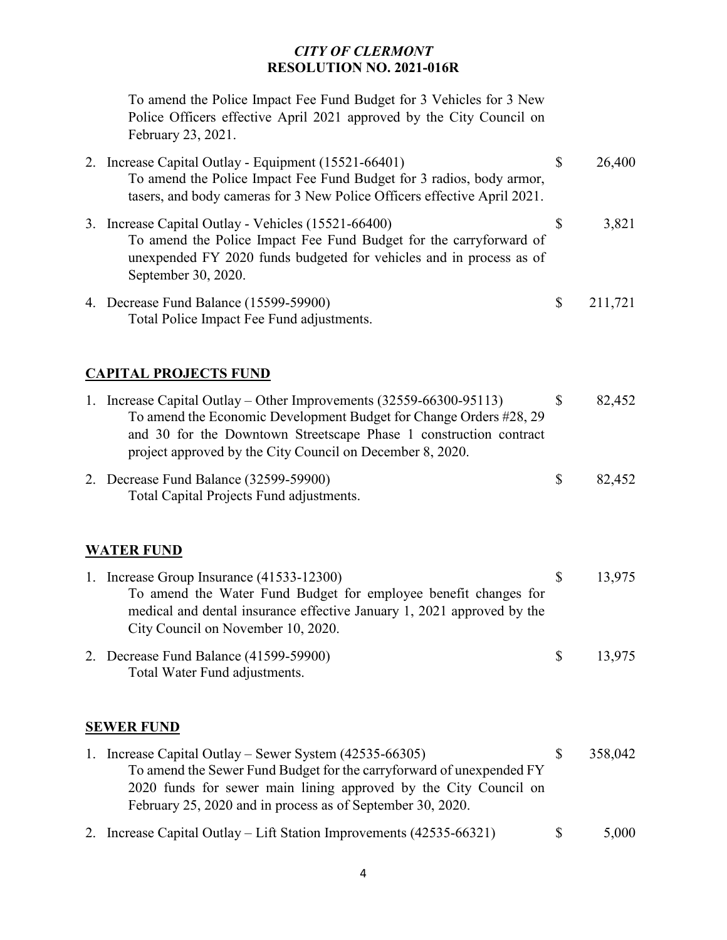To amend the Police Impact Fee Fund Budget for 3 Vehicles for 3 New Police Officers effective April 2021 approved by the City Council on February 23, 2021.

| 2. | Increase Capital Outlay - Equipment (15521-66401)<br>To amend the Police Impact Fee Fund Budget for 3 radios, body armor,<br>tasers, and body cameras for 3 New Police Officers effective April 2021.                   | \$ | 26,400  |
|----|-------------------------------------------------------------------------------------------------------------------------------------------------------------------------------------------------------------------------|----|---------|
|    | 3. Increase Capital Outlay - Vehicles (15521-66400)<br>To amend the Police Impact Fee Fund Budget for the carryforward of<br>unexpended FY 2020 funds budgeted for vehicles and in process as of<br>September 30, 2020. | S  | 3,821   |
|    | 4. Decrease Fund Balance (15599-59900)<br>Total Police Impact Fee Fund adjustments.                                                                                                                                     | \$ | 211,721 |

### **CAPITAL PROJECTS FUND**

| $\mathbf{L}$ | Increase Capital Outlay – Other Improvements $(32559-66300-95113)$<br>To amend the Economic Development Budget for Change Orders #28, 29<br>and 30 for the Downtown Streetscape Phase 1 construction contract<br>project approved by the City Council on December 8, 2020. |   | 82,452 |
|--------------|----------------------------------------------------------------------------------------------------------------------------------------------------------------------------------------------------------------------------------------------------------------------------|---|--------|
|              | 2. Decrease Fund Balance (32599-59900)<br>Total Capital Projects Fund adjustments.                                                                                                                                                                                         | S | 82,452 |

### **WATER FUND**

| 1. Increase Group Insurance (41533-12300)                              |              | 13.975 |
|------------------------------------------------------------------------|--------------|--------|
| To amend the Water Fund Budget for employee benefit changes for        |              |        |
| medical and dental insurance effective January 1, 2021 approved by the |              |        |
| City Council on November 10, 2020.                                     |              |        |
| 2. Decrease Fund Balance (41599-59900)                                 | <sup>S</sup> | 13.975 |

Total Water Fund adjustments.

#### **SEWER FUND**

- 1. Increase Capital Outlay Sewer System (42535-66305) \$ 358,042 To amend the Sewer Fund Budget for the carryforward of unexpended FY 2020 funds for sewer main lining approved by the City Council on February 25, 2020 and in process as of September 30, 2020.
- 2. Increase Capital Outlay Lift Station Improvements (42535-66321) \$ 5,000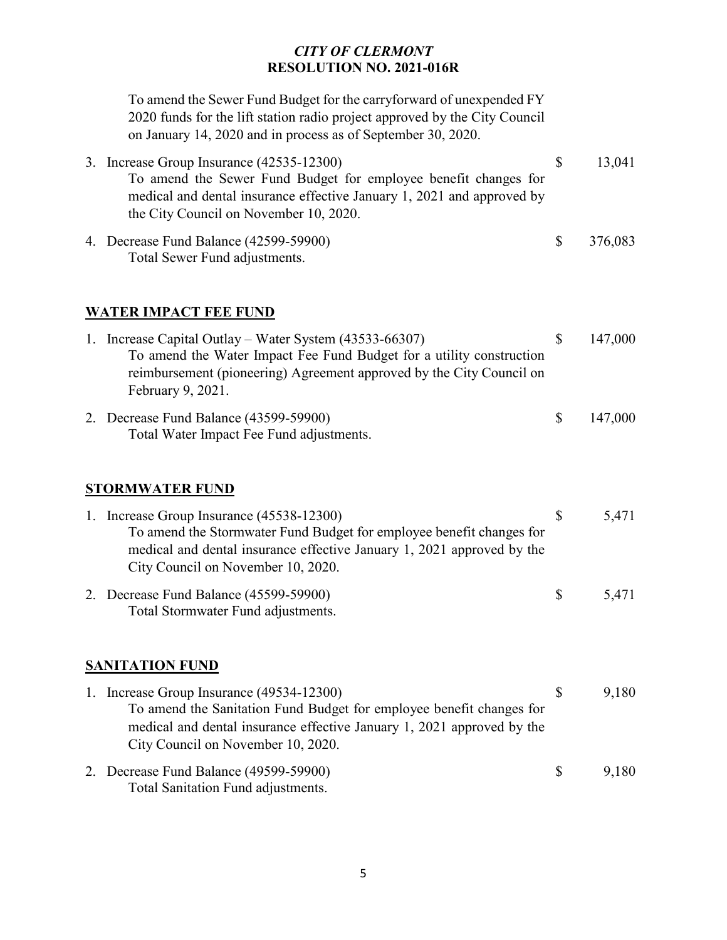To amend the Sewer Fund Budget for the carryforward of unexpended FY 2020 funds for the lift station radio project approved by the City Council on January 14, 2020 and in process as of September 30, 2020.

| 3. Increase Group Insurance (42535-12300)                              | 13.041 |
|------------------------------------------------------------------------|--------|
| To amend the Sewer Fund Budget for employee benefit changes for        |        |
| medical and dental insurance effective January 1, 2021 and approved by |        |
| the City Council on November 10, 2020.                                 |        |
|                                                                        |        |

4. Decrease Fund Balance (42599-59900) \$ 376,083 Total Sewer Fund adjustments.

### **WATER IMPACT FEE FUND**

| 1. Increase Capital Outlay – Water System $(43533-66307)$                                 |    | 147,000 |
|-------------------------------------------------------------------------------------------|----|---------|
| To amend the Water Impact Fee Fund Budget for a utility construction                      |    |         |
| reimbursement (pioneering) Agreement approved by the City Council on<br>February 9, 2021. |    |         |
| 2. Decrease Fund Balance (43599-59900)<br>Total Water Impact Fee Fund adjustments.        | -S | 147,000 |

### **STORMWATER FUND**

| 1. Increase Group Insurance (45538-12300)                                    | \$           | 5,471 |
|------------------------------------------------------------------------------|--------------|-------|
| To amend the Stormwater Fund Budget for employee benefit changes for         |              |       |
| medical and dental insurance effective January 1, 2021 approved by the       |              |       |
| City Council on November 10, 2020.                                           |              |       |
| 2. Decrease Fund Balance (45599-59900)<br>Total Stormwater Fund adjustments. | <sup>S</sup> | 5,471 |

# **SANITATION FUND**

| 1. Increase Group Insurance (49534-12300)                                                                    |              | 9,180 |
|--------------------------------------------------------------------------------------------------------------|--------------|-------|
| To amend the Sanitation Fund Budget for employee benefit changes for                                         |              |       |
| medical and dental insurance effective January 1, 2021 approved by the<br>City Council on November 10, 2020. |              |       |
| 2. Decrease Fund Balance (49599-59900)<br>Total Sanitation Fund adjustments.                                 | <sup>S</sup> | 9,180 |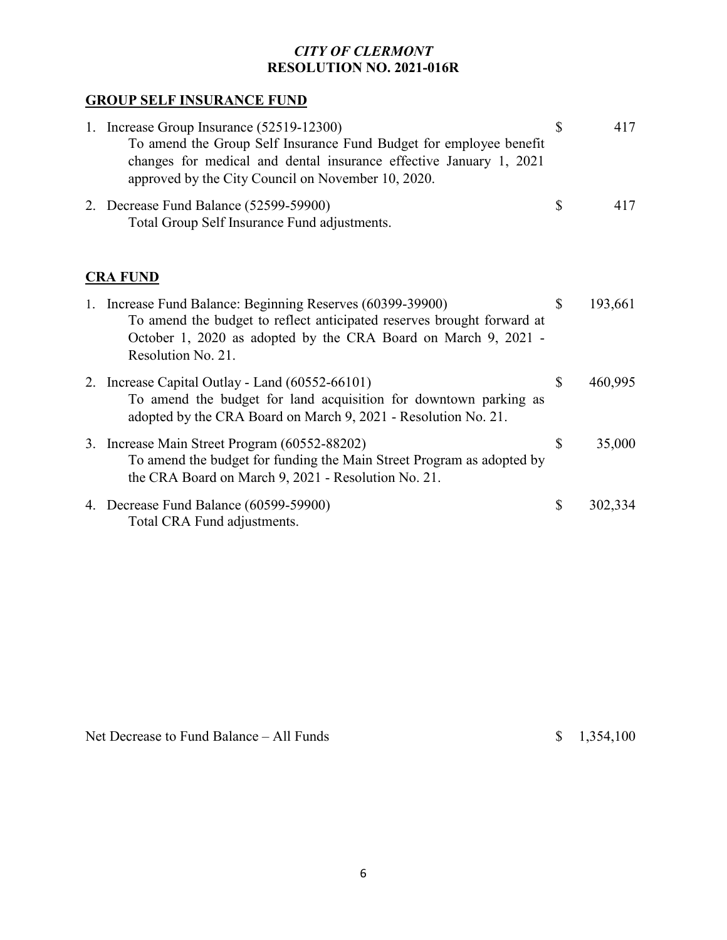# **GROUP SELF INSURANCE FUND**

| 1. Increase Group Insurance (52519-12300)<br>To amend the Group Self Insurance Fund Budget for employee benefit<br>changes for medical and dental insurance effective January 1, 2021<br>approved by the City Council on November 10, 2020. | \$<br>417     |
|---------------------------------------------------------------------------------------------------------------------------------------------------------------------------------------------------------------------------------------------|---------------|
| 2. Decrease Fund Balance (52599-59900)<br>Total Group Self Insurance Fund adjustments.                                                                                                                                                      | \$<br>417     |
| <b>CRA FUND</b>                                                                                                                                                                                                                             |               |
| 1. Increase Fund Balance: Beginning Reserves (60399-39900)<br>To amend the budget to reflect anticipated reserves brought forward at<br>October 1, 2020 as adopted by the CRA Board on March 9, 2021 -<br>Resolution No. 21.                | \$<br>193,661 |
| 2. Increase Capital Outlay - Land (60552-66101)<br>To amend the budget for land acquisition for downtown parking as<br>adopted by the CRA Board on March 9, 2021 - Resolution No. 21.                                                       | \$<br>460,995 |
| 3. Increase Main Street Program (60552-88202)<br>To amend the budget for funding the Main Street Program as adopted by<br>the CRA Board on March 9, 2021 - Resolution No. 21.                                                               | \$<br>35,000  |
| 4. Decrease Fund Balance (60599-59900)<br>Total CRA Fund adjustments.                                                                                                                                                                       | \$<br>302,334 |

Net Decrease to Fund Balance – All Funds  $\qquad \qquad$  \$ 1,354,100